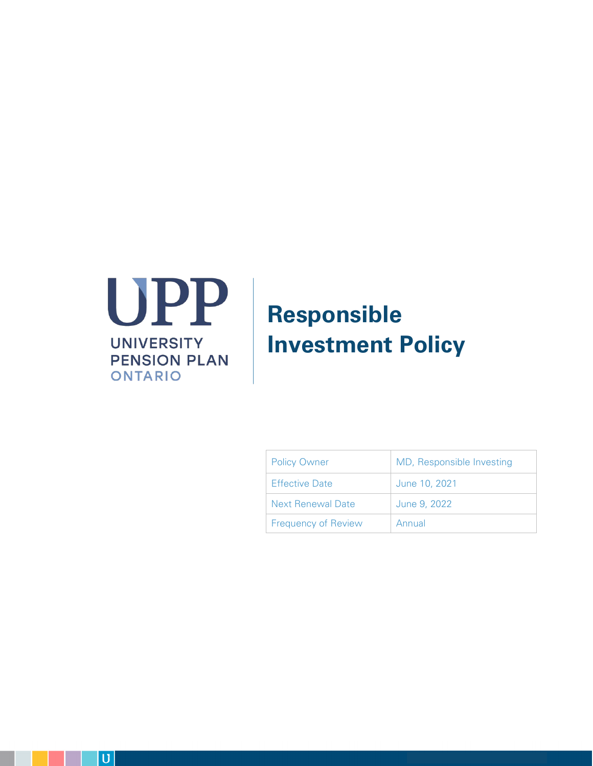

# **Responsible Investment Policy**

| <b>Policy Owner</b>        | MD, Responsible Investing |
|----------------------------|---------------------------|
| <b>Effective Date</b>      | June 10, 2021             |
| <b>Next Renewal Date</b>   | June 9, 2022              |
| <b>Frequency of Review</b> | Annual                    |

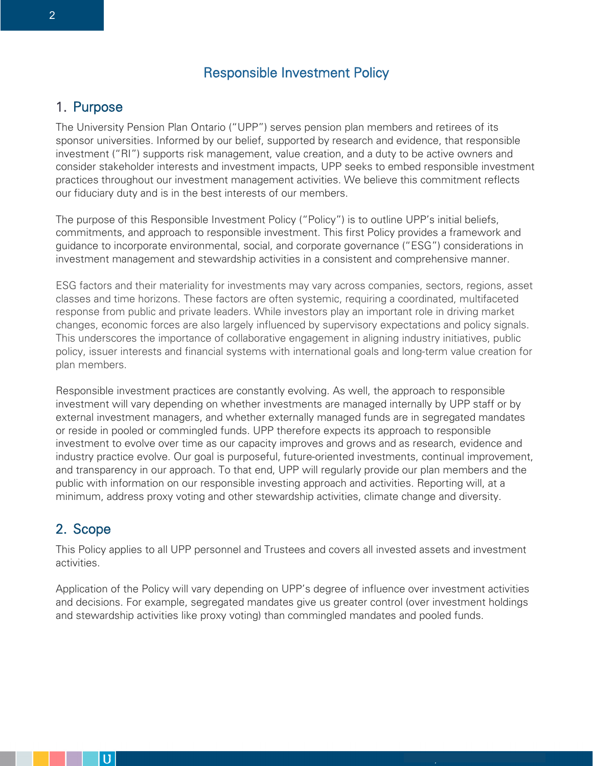## Responsible Investment Policy

## 1. Purpose

The University Pension Plan Ontario ("UPP") serves pension plan members and retirees of its sponsor universities. Informed by our belief, supported by research and evidence, that responsible investment ("RI") supports risk management, value creation, and a duty to be active owners and consider stakeholder interests and investment impacts, UPP seeks to embed responsible investment practices throughout our investment management activities. We believe this commitment reflects our fiduciary duty and is in the best interests of our members.

The purpose of this Responsible Investment Policy ("Policy") is to outline UPP's initial beliefs, commitments, and approach to responsible investment. This first Policy provides a framework and guidance to incorporate environmental, social, and corporate governance ("ESG") considerations in investment management and stewardship activities in a consistent and comprehensive manner.

ESG factors and their materiality for investments may vary across companies, sectors, regions, asset classes and time horizons. These factors are often systemic, requiring a coordinated, multifaceted response from public and private leaders. While investors play an important role in driving market changes, economic forces are also largely influenced by supervisory expectations and policy signals. This underscores the importance of collaborative engagement in aligning industry initiatives, public policy, issuer interests and financial systems with international goals and long-term value creation for plan members.

Responsible investment practices are constantly evolving. As well, the approach to responsible investment will vary depending on whether investments are managed internally by UPP staff or by external investment managers, and whether externally managed funds are in segregated mandates or reside in pooled or commingled funds. UPP therefore expects its approach to responsible investment to evolve over time as our capacity improves and grows and as research, evidence and industry practice evolve. Our goal is purposeful, future-oriented investments, continual improvement, and transparency in our approach. To that end, UPP will regularly provide our plan members and the public with information on our responsible investing approach and activities. Reporting will, at a minimum, address proxy voting and other stewardship activities, climate change and diversity.

## 2. Scope

U

This Policy applies to all UPP personnel and Trustees and covers all invested assets and investment activities.

Application of the Policy will vary depending on UPP's degree of influence over investment activities and decisions. For example, segregated mandates give us greater control (over investment holdings and stewardship activities like proxy voting) than commingled mandates and pooled funds.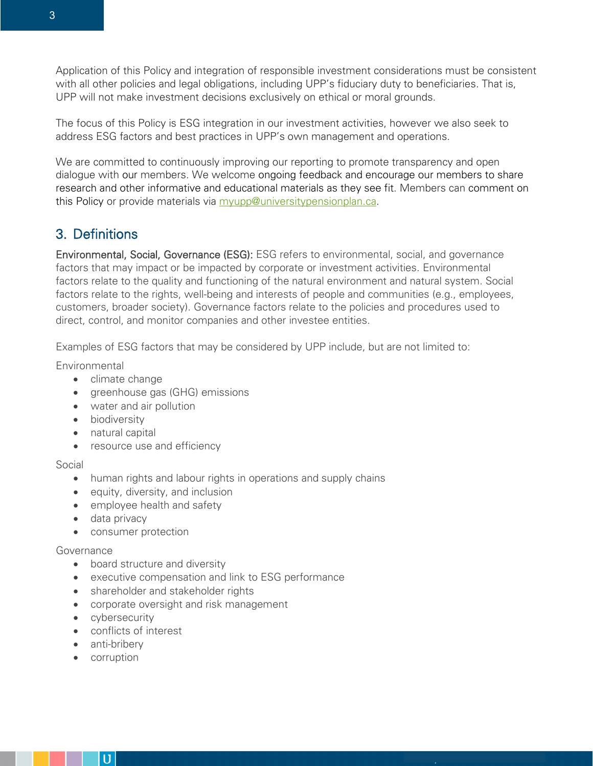Application of this Policy and integration of responsible investment considerations must be consistent with all other policies and legal obligations, including UPP's fiduciary duty to beneficiaries. That is, UPP will not make investment decisions exclusively on ethical or moral grounds.

The focus of this Policy is ESG integration in our investment activities, however we also seek to address ESG factors and best practices in UPP's own management and operations.

We are committed to continuously improving our reporting to promote transparency and open dialogue with our members. We welcome ongoing feedback and encourage our members to share research and other informative and educational materials as they see fit. Members can comment on this Policy or provide materials via [myupp@universitypensionplan.ca.](mailto:myupp@universitypensionplan.ca)

## 3. Definitions

Environmental, Social, Governance (ESG): ESG refers to environmental, social, and governance factors that may impact or be impacted by corporate or investment activities. Environmental factors relate to the quality and functioning of the natural environment and natural system. Social factors relate to the rights, well-being and interests of people and communities (e.g., employees, customers, broader society). Governance factors relate to the policies and procedures used to direct, control, and monitor companies and other investee entities.

Examples of ESG factors that may be considered by UPP include, but are not limited to:

Environmental

- climate change
- greenhouse gas (GHG) emissions
- water and air pollution
- biodiversity
- natural capital
- resource use and efficiency

Social

- human rights and labour rights in operations and supply chains
- equity, diversity, and inclusion
- employee health and safety
- data privacy
- consumer protection

#### Governance

- board structure and diversity
- executive compensation and link to ESG performance
- shareholder and stakeholder rights
- corporate oversight and risk management
- cybersecurity
- conflicts of interest
- anti-bribery
- corruption

U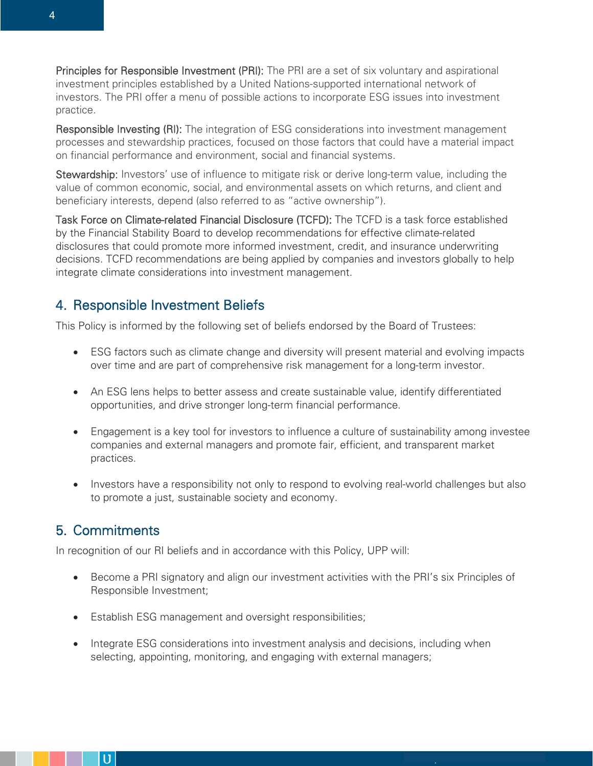Principles for Responsible Investment (PRI): The PRI are a set of six voluntary and aspirational investment principles established by a United Nations-supported international network of investors. The PRI offer a menu of possible actions to incorporate ESG issues into investment practice.

Responsible Investing (RI): The integration of ESG considerations into investment management processes and stewardship practices, focused on those factors that could have a material impact on financial performance and environment, social and financial systems.

Stewardship: Investors' use of influence to mitigate risk or derive long-term value, including the value of common economic, social, and environmental assets on which returns, and client and beneficiary interests, depend (also referred to as "active ownership").

Task Force on Climate-related Financial Disclosure (TCFD): The TCFD is a task force established by the Financial Stability Board to develop recommendations for effective climate-related disclosures that could promote more informed investment, credit, and insurance underwriting decisions. TCFD recommendations are being applied by companies and investors globally to help integrate climate considerations into investment management.

## 4. Responsible Investment Beliefs

This Policy is informed by the following set of beliefs endorsed by the Board of Trustees:

- ESG factors such as climate change and diversity will present material and evolving impacts over time and are part of comprehensive risk management for a long-term investor.
- An ESG lens helps to better assess and create sustainable value, identify differentiated opportunities, and drive stronger long-term financial performance.
- Engagement is a key tool for investors to influence a culture of sustainability among investee companies and external managers and promote fair, efficient, and transparent market practices.
- Investors have a responsibility not only to respond to evolving real-world challenges but also to promote a just, sustainable society and economy.

## 5. Commitments

 $\mathbf U$ 

In recognition of our RI beliefs and in accordance with this Policy, UPP will:

- Become a PRI signatory and align our investment activities with the PRI's six Principles of Responsible Investment;
- Establish ESG management and oversight responsibilities;
- Integrate ESG considerations into investment analysis and decisions, including when selecting, appointing, monitoring, and engaging with external managers;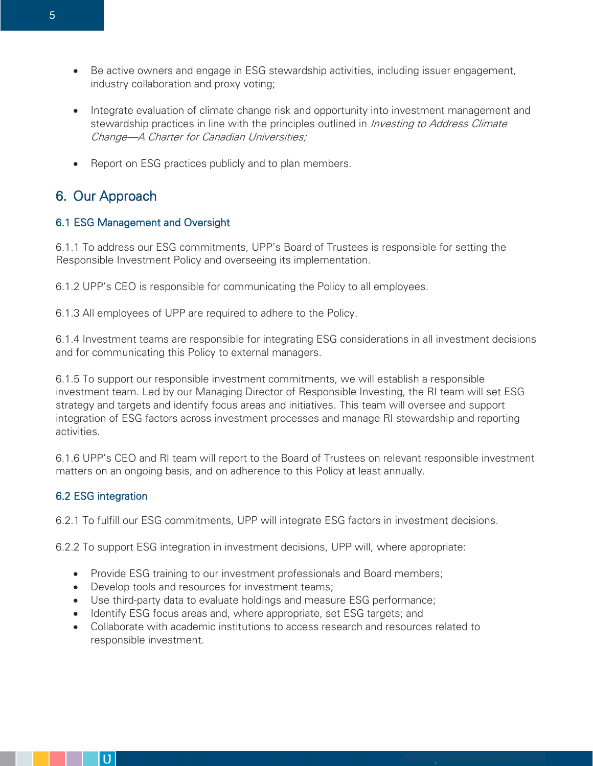- Be active owners and engage in ESG stewardship activities, including issuer engagement, industry collaboration and proxy voting;
- Integrate evaluation of climate change risk and opportunity into investment management and stewardship practices in line with the principles outlined in *Investing to Address Climate* Change—A Charter for Canadian Universities;
- Report on ESG practices publicly and to plan members.

# 6. Our Approach

## 6.1 ESG Management and Oversight

6.1.1 To address our ESG commitments, UPP's Board of Trustees is responsible for setting the Responsible Investment Policy and overseeing its implementation.

6.1.2 UPP's CEO is responsible for communicating the Policy to all employees.

6.1.3 All employees of UPP are required to adhere to the Policy.

6.1.4 Investment teams are responsible for integrating ESG considerations in all investment decisions and for communicating this Policy to external managers.

6.1.5 To support our responsible investment commitments, we will establish a responsible investment team. Led by our Managing Director of Responsible Investing, the RI team will set ESG strategy and targets and identify focus areas and initiatives. This team will oversee and support integration of ESG factors across investment processes and manage RI stewardship and reporting activities.

6.1.6 UPP's CEO and RI team will report to the Board of Trustees on relevant responsible investment matters on an ongoing basis, and on adherence to this Policy at least annually.

## 6.2 ESG integration

U

6.2.1 To fulfill our ESG commitments, UPP will integrate ESG factors in investment decisions.

6.2.2 To support ESG integration in investment decisions, UPP will, where appropriate:

- Provide ESG training to our investment professionals and Board members;
- Develop tools and resources for investment teams;
- Use third-party data to evaluate holdings and measure ESG performance;
- Identify ESG focus areas and, where appropriate, set ESG targets; and
- Collaborate with academic institutions to access research and resources related to responsible investment.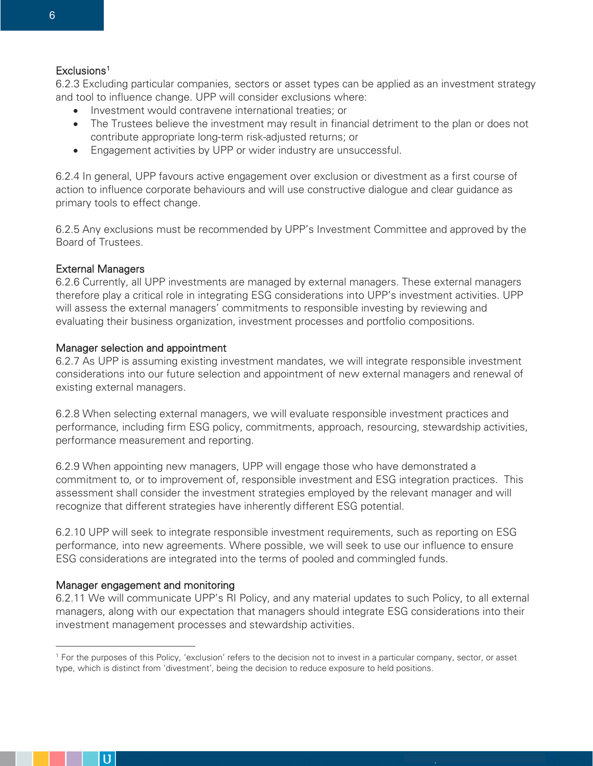#### Exclusions<sup>[1](#page-5-0)</sup>

6.2.3 Excluding particular companies, sectors or asset types can be applied as an investment strategy and tool to influence change. UPP will consider exclusions where:

- Investment would contravene international treaties; or
- The Trustees believe the investment may result in financial detriment to the plan or does not contribute appropriate long-term risk-adjusted returns; or
- Engagement activities by UPP or wider industry are unsuccessful.

6.2.4 In general, UPP favours active engagement over exclusion or divestment as a first course of action to influence corporate behaviours and will use constructive dialogue and clear guidance as primary tools to effect change.

6.2.5 Any exclusions must be recommended by UPP's Investment Committee and approved by the Board of Trustees.

#### External Managers

6.2.6 Currently, all UPP investments are managed by external managers. These external managers therefore play a critical role in integrating ESG considerations into UPP's investment activities. UPP will assess the external managers' commitments to responsible investing by reviewing and evaluating their business organization, investment processes and portfolio compositions.

#### Manager selection and appointment

6.2.7 As UPP is assuming existing investment mandates, we will integrate responsible investment considerations into our future selection and appointment of new external managers and renewal of existing external managers.

6.2.8 When selecting external managers, we will evaluate responsible investment practices and performance, including firm ESG policy, commitments, approach, resourcing, stewardship activities, performance measurement and reporting.

6.2.9 When appointing new managers, UPP will engage those who have demonstrated a commitment to, or to improvement of, responsible investment and ESG integration practices. This assessment shall consider the investment strategies employed by the relevant manager and will recognize that different strategies have inherently different ESG potential.

6.2.10 UPP will seek to integrate responsible investment requirements, such as reporting on ESG performance, into new agreements. Where possible, we will seek to use our influence to ensure ESG considerations are integrated into the terms of pooled and commingled funds.

#### Manager engagement and monitoring

6.2.11 We will communicate UPP's RI Policy, and any material updates to such Policy, to all external managers, along with our expectation that managers should integrate ESG considerations into their investment management processes and stewardship activities.



<span id="page-5-0"></span><sup>1</sup> For the purposes of this Policy, 'exclusion' refers to the decision not to invest in a particular company, sector, or asset type, which is distinct from 'divestment', being the decision to reduce exposure to held positions.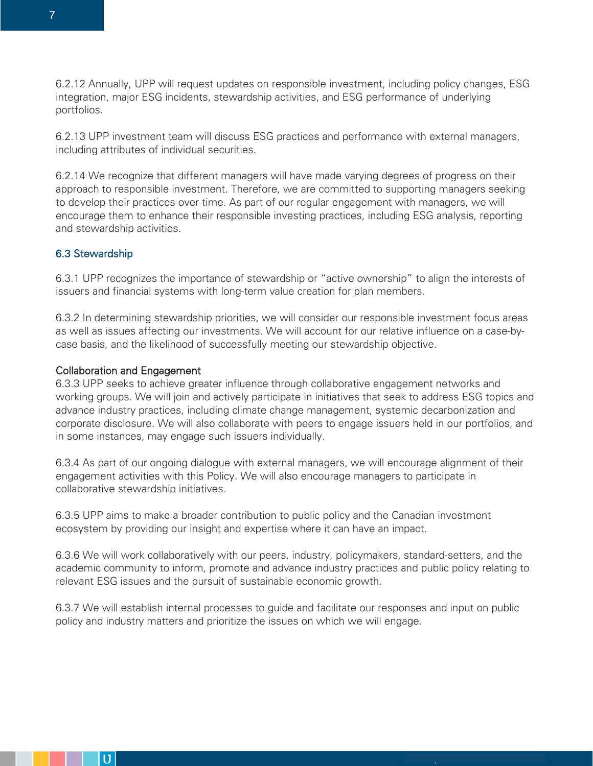6.2.12 Annually, UPP will request updates on responsible investment, including policy changes, ESG integration, major ESG incidents, stewardship activities, and ESG performance of underlying portfolios.

6.2.13 UPP investment team will discuss ESG practices and performance with external managers, including attributes of individual securities.

6.2.14 We recognize that different managers will have made varying degrees of progress on their approach to responsible investment. Therefore, we are committed to supporting managers seeking to develop their practices over time. As part of our regular engagement with managers, we will encourage them to enhance their responsible investing practices, including ESG analysis, reporting and stewardship activities.

#### 6.3 Stewardship

6.3.1 UPP recognizes the importance of stewardship or "active ownership" to align the interests of issuers and financial systems with long-term value creation for plan members.

6.3.2 In determining stewardship priorities, we will consider our responsible investment focus areas as well as issues affecting our investments. We will account for our relative influence on a case-bycase basis, and the likelihood of successfully meeting our stewardship objective.

#### Collaboration and Engagement

U

6.3.3 UPP seeks to achieve greater influence through collaborative engagement networks and working groups. We will join and actively participate in initiatives that seek to address ESG topics and advance industry practices, including climate change management, systemic decarbonization and corporate disclosure. We will also collaborate with peers to engage issuers held in our portfolios, and in some instances, may engage such issuers individually.

6.3.4 As part of our ongoing dialogue with external managers, we will encourage alignment of their engagement activities with this Policy. We will also encourage managers to participate in collaborative stewardship initiatives.

6.3.5 UPP aims to make a broader contribution to public policy and the Canadian investment ecosystem by providing our insight and expertise where it can have an impact.

6.3.6 We will work collaboratively with our peers, industry, policymakers, standard-setters, and the academic community to inform, promote and advance industry practices and public policy relating to relevant ESG issues and the pursuit of sustainable economic growth.

6.3.7 We will establish internal processes to guide and facilitate our responses and input on public policy and industry matters and prioritize the issues on which we will engage.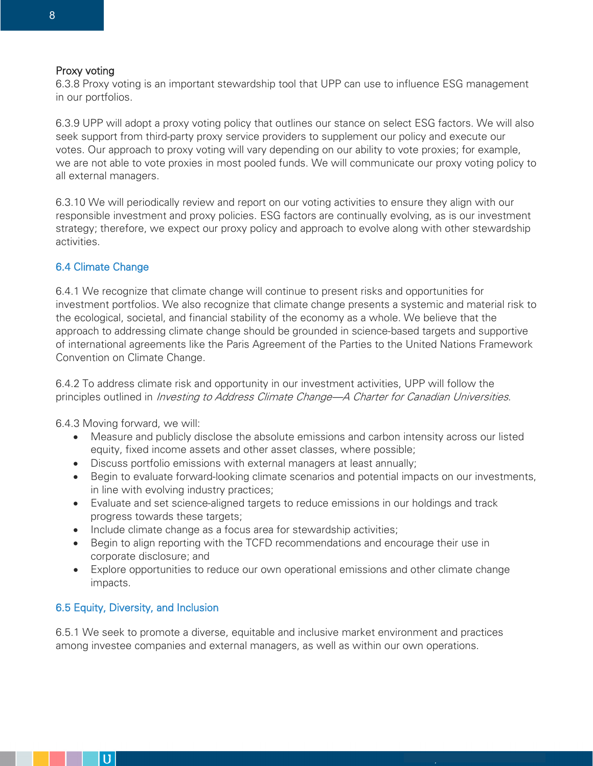#### Proxy voting

6.3.8 Proxy voting is an important stewardship tool that UPP can use to influence ESG management in our portfolios.

6.3.9 UPP will adopt a proxy voting policy that outlines our stance on select ESG factors. We will also seek support from third-party proxy service providers to supplement our policy and execute our votes. Our approach to proxy voting will vary depending on our ability to vote proxies; for example, we are not able to vote proxies in most pooled funds. We will communicate our proxy voting policy to all external managers.

6.3.10 We will periodically review and report on our voting activities to ensure they align with our responsible investment and proxy policies. ESG factors are continually evolving, as is our investment strategy; therefore, we expect our proxy policy and approach to evolve along with other stewardship activities.

### 6.4 Climate Change

6.4.1 We recognize that climate change will continue to present risks and opportunities for investment portfolios. We also recognize that climate change presents a systemic and material risk to the ecological, societal, and financial stability of the economy as a whole. We believe that the approach to addressing climate change should be grounded in science-based targets and supportive of international agreements like the Paris Agreement of the Parties to the United Nations Framework Convention on Climate Change.

6.4.2 To address climate risk and opportunity in our investment activities, UPP will follow the principles outlined in *Investing to Address Climate Change—A Charter for Canadian Universities*.

6.4.3 Moving forward, we will:

- Measure and publicly disclose the absolute emissions and carbon intensity across our listed equity, fixed income assets and other asset classes, where possible;
- Discuss portfolio emissions with external managers at least annually;
- Begin to evaluate forward-looking climate scenarios and potential impacts on our investments, in line with evolving industry practices;
- Evaluate and set science-aligned targets to reduce emissions in our holdings and track progress towards these targets;
- Include climate change as a focus area for stewardship activities;
- Begin to align reporting with the TCFD recommendations and encourage their use in corporate disclosure; and
- Explore opportunities to reduce our own operational emissions and other climate change impacts.

#### 6.5 Equity, Diversity, and Inclusion

U

6.5.1 We seek to promote a diverse, equitable and inclusive market environment and practices among investee companies and external managers, as well as within our own operations.